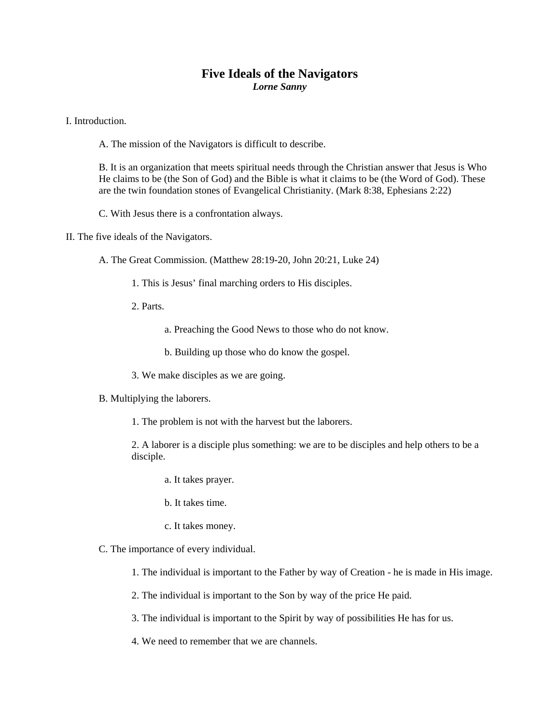## **Five Ideals of the Navigators**  *Lorne Sanny*

I. Introduction.

A. The mission of the Navigators is difficult to describe.

B. It is an organization that meets spiritual needs through the Christian answer that Jesus is Who He claims to be (the Son of God) and the Bible is what it claims to be (the Word of God). These are the twin foundation stones of Evangelical Christianity. (Mark 8:38, Ephesians 2:22)

C. With Jesus there is a confrontation always.

II. The five ideals of the Navigators.

A. The Great Commission. (Matthew 28:19-20, John 20:21, Luke 24)

- 1. This is Jesus' final marching orders to His disciples.
- 2. Parts.

a. Preaching the Good News to those who do not know.

- b. Building up those who do know the gospel.
- 3. We make disciples as we are going.
- B. Multiplying the laborers.
	- 1. The problem is not with the harvest but the laborers.

2. A laborer is a disciple plus something: we are to be disciples and help others to be a disciple.

- a. It takes prayer.
- b. It takes time.
- c. It takes money.

## C. The importance of every individual.

- 1. The individual is important to the Father by way of Creation he is made in His image.
- 2. The individual is important to the Son by way of the price He paid.
- 3. The individual is important to the Spirit by way of possibilities He has for us.
- 4. We need to remember that we are channels.